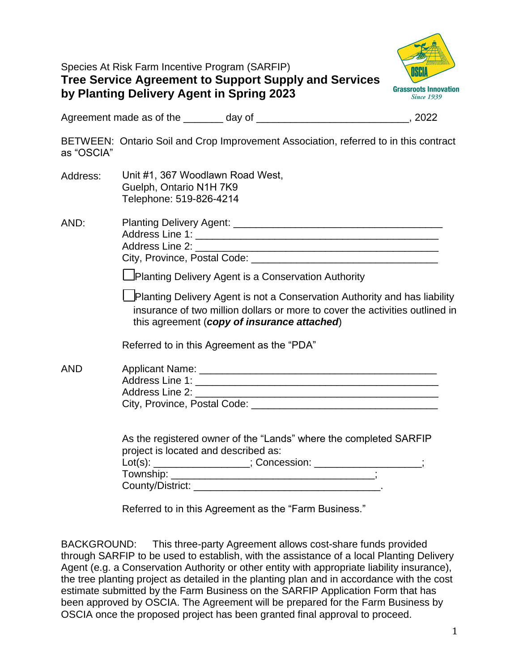| Species At Risk Farm Incentive Program (SARFIP)              |
|--------------------------------------------------------------|
| <b>Tree Service Agreement to Support Supply and Services</b> |
| by Planting Delivery Agent in Spring 2023                    |



Agreement made as of the \_\_\_\_\_\_\_ day of \_\_\_\_\_\_\_\_\_\_\_\_\_\_\_\_\_\_\_\_\_\_\_\_\_\_\_\_\_, 2022

BETWEEN: Ontario Soil and Crop Improvement Association, referred to in this contract as "OSCIA"

- Address: Unit #1, 367 Woodlawn Road West, Guelph, Ontario N1H 7K9 Telephone: 519-826-4214
- AND: Planting Delivery Agent: \_\_\_\_\_\_\_\_\_\_\_\_\_\_\_\_\_\_\_\_\_\_\_\_\_\_\_\_\_\_\_\_\_\_\_\_\_ Address Line 1: \_\_\_\_\_\_\_\_\_\_\_\_\_\_\_\_\_\_\_\_\_\_\_\_\_\_\_\_\_\_\_\_\_\_\_\_\_\_\_\_\_\_\_ Address Line 2: **Address Line 2: Address Line 2: Address 1: Address 1: Address 1: Address 1: Address 1: Address 1: Address 1: Address 1: Address 1: Address 1: Address 1: Address 1: Address 1:** City, Province, Postal Code: \_\_\_\_\_\_\_\_\_\_\_\_\_\_\_\_\_\_\_\_\_\_\_\_\_\_\_\_\_\_\_\_\_

☐Planting Delivery Agent is a Conservation Authority

☐Planting Delivery Agent is not a Conservation Authority and has liability insurance of two million dollars or more to cover the activities outlined in this agreement (*copy of insurance attached*)

Referred to in this Agreement as the "PDA"

| AND | Applicant Name:              |  |
|-----|------------------------------|--|
|     | Address Line 1:              |  |
|     | Address Line 2:              |  |
|     | City, Province, Postal Code: |  |

As the registered owner of the "Lands" where the completed SARFIP project is located and described as:

| $Lot(s)$ :       | : Concession: |  |
|------------------|---------------|--|
| Township:        |               |  |
| County/District: |               |  |

Referred to in this Agreement as the "Farm Business."

BACKGROUND: This three-party Agreement allows cost-share funds provided through SARFIP to be used to establish, with the assistance of a local Planting Delivery Agent (e.g. a Conservation Authority or other entity with appropriate liability insurance), the tree planting project as detailed in the planting plan and in accordance with the cost estimate submitted by the Farm Business on the SARFIP Application Form that has been approved by OSCIA. The Agreement will be prepared for the Farm Business by OSCIA once the proposed project has been granted final approval to proceed.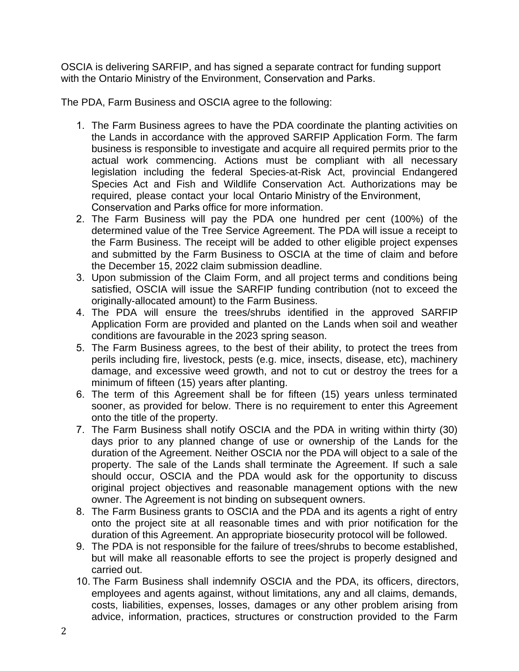OSCIA is delivering SARFIP, and has signed a separate contract for funding support with the Ontario Ministry of the Environment, Conservation and Parks.

The PDA, Farm Business and OSCIA agree to the following:

- 1. The Farm Business agrees to have the PDA coordinate the planting activities on the Lands in accordance with the approved SARFIP Application Form. The farm business is responsible to investigate and acquire all required permits prior to the actual work commencing. Actions must be compliant with all necessary legislation including the federal Species-at-Risk Act, provincial Endangered Species Act and Fish and Wildlife Conservation Act. Authorizations may be required, please contact your local Ontario Ministry of the Environment, Conservation and Parks office for more information.
- 2. The Farm Business will pay the PDA one hundred per cent (100%) of the determined value of the Tree Service Agreement. The PDA will issue a receipt to the Farm Business. The receipt will be added to other eligible project expenses and submitted by the Farm Business to OSCIA at the time of claim and before the December 15, 2022 claim submission deadline.
- 3. Upon submission of the Claim Form, and all project terms and conditions being satisfied, OSCIA will issue the SARFIP funding contribution (not to exceed the originally-allocated amount) to the Farm Business.
- 4. The PDA will ensure the trees/shrubs identified in the approved SARFIP Application Form are provided and planted on the Lands when soil and weather conditions are favourable in the 2023 spring season.
- 5. The Farm Business agrees, to the best of their ability, to protect the trees from perils including fire, livestock, pests (e.g. mice, insects, disease, etc), machinery damage, and excessive weed growth, and not to cut or destroy the trees for a minimum of fifteen (15) years after planting.
- 6. The term of this Agreement shall be for fifteen (15) years unless terminated sooner, as provided for below. There is no requirement to enter this Agreement onto the title of the property.
- 7. The Farm Business shall notify OSCIA and the PDA in writing within thirty (30) days prior to any planned change of use or ownership of the Lands for the duration of the Agreement. Neither OSCIA nor the PDA will object to a sale of the property. The sale of the Lands shall terminate the Agreement. If such a sale should occur, OSCIA and the PDA would ask for the opportunity to discuss original project objectives and reasonable management options with the new owner. The Agreement is not binding on subsequent owners.
- 8. The Farm Business grants to OSCIA and the PDA and its agents a right of entry onto the project site at all reasonable times and with prior notification for the duration of this Agreement. An appropriate biosecurity protocol will be followed.
- 9. The PDA is not responsible for the failure of trees/shrubs to become established, but will make all reasonable efforts to see the project is properly designed and carried out.
- 10. The Farm Business shall indemnify OSCIA and the PDA, its officers, directors, employees and agents against, without limitations, any and all claims, demands, costs, liabilities, expenses, losses, damages or any other problem arising from advice, information, practices, structures or construction provided to the Farm